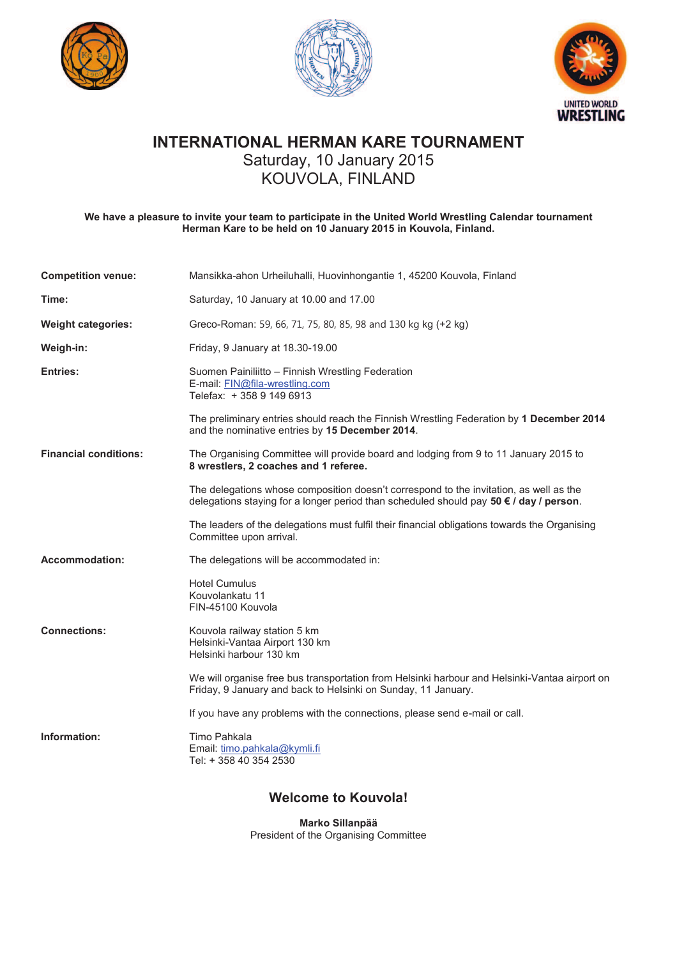





### **INTERNATIONAL HERMAN KARE TOURNAMENT**

Saturday, 10 January 2015

## KOUVOLA, FINLAND

**We have a pleasure to invite your team to participate in the United World Wrestling Calendar tournament Herman Kare to be held on 10 January 2015 in Kouvola, Finland.** 

| <b>Competition venue:</b>    | Mansikka-ahon Urheiluhalli, Huovinhongantie 1, 45200 Kouvola, Finland                                                                                                            |
|------------------------------|----------------------------------------------------------------------------------------------------------------------------------------------------------------------------------|
| Time:                        | Saturday, 10 January at 10.00 and 17.00                                                                                                                                          |
| <b>Weight categories:</b>    | Greco-Roman: 59, 66, 71, 75, 80, 85, 98 and 130 kg kg (+2 kg)                                                                                                                    |
| Weigh-in:                    | Friday, 9 January at 18.30-19.00                                                                                                                                                 |
| Entries:                     | Suomen Painiliitto - Finnish Wrestling Federation<br>E-mail: FIN@fila-wrestling.com<br>Telefax: +358 9 149 6913                                                                  |
|                              | The preliminary entries should reach the Finnish Wrestling Federation by 1 December 2014<br>and the nominative entries by 15 December 2014.                                      |
| <b>Financial conditions:</b> | The Organising Committee will provide board and lodging from 9 to 11 January 2015 to<br>8 wrestlers, 2 coaches and 1 referee.                                                    |
|                              | The delegations whose composition doesn't correspond to the invitation, as well as the<br>delegations staying for a longer period than scheduled should pay 50 € / day / person. |
|                              | The leaders of the delegations must fulfil their financial obligations towards the Organising<br>Committee upon arrival.                                                         |
| <b>Accommodation:</b>        | The delegations will be accommodated in:                                                                                                                                         |
|                              | <b>Hotel Cumulus</b><br>Kouvolankatu 11<br>FIN-45100 Kouvola                                                                                                                     |
| <b>Connections:</b>          | Kouvola railway station 5 km<br>Helsinki-Vantaa Airport 130 km<br>Helsinki harbour 130 km                                                                                        |
|                              | We will organise free bus transportation from Helsinki harbour and Helsinki-Vantaa airport on<br>Friday, 9 January and back to Helsinki on Sunday, 11 January.                   |
|                              | If you have any problems with the connections, please send e-mail or call.                                                                                                       |
| Information:                 | Timo Pahkala<br>Email: timo.pahkala@kymli.fi<br>Tel: + 358 40 354 2530                                                                                                           |
|                              |                                                                                                                                                                                  |

#### **Welcome to Kouvola!**

**Marko Sillanpää** President of the Organising Committee